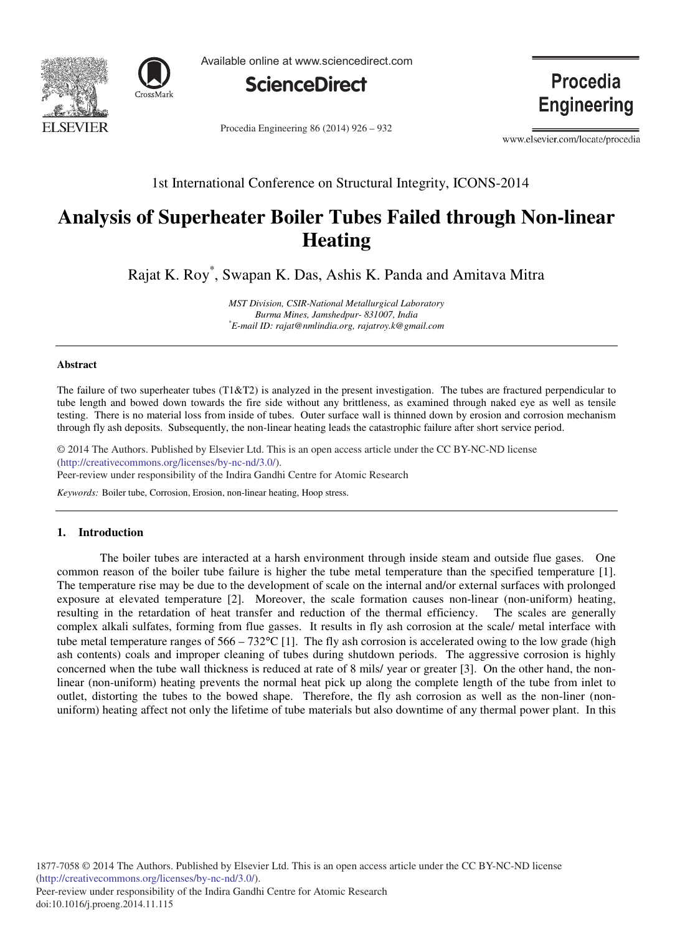



Available online at www.sciencedirect.com



Procedia Engineering 86 (2014) 926 - 932

Procedia **Engineering** 

www.elsevier.com/locate/procedia

1st International Conference on Structural Integrity, ICONS-2014

# **Analysis of Superheater Boiler Tubes Failed through Non-linear Heating**

Rajat K. Roy\* , Swapan K. Das, Ashis K. Panda and Amitava Mitra

*MST Division, CSIR-National Metallurgical Laboratory Burma Mines, Jamshedpur- 831007, India \*E-mail ID: rajat@nmlindia.org, rajatroy.k@gmail.com*

#### **Abstract**

The failure of two superheater tubes (T1&T2) is analyzed in the present investigation. The tubes are fractured perpendicular to tube length and bowed down towards the fire side without any brittleness, as examined through naked eye as well as tensile testing. There is no material loss from inside of tubes. Outer surface wall is thinned down by erosion and corrosion mechanism through fly ash deposits. Subsequently, the non-linear heating leads the catastrophic failure after short service period.

© 2014 The Authors. Published by Elsevier Ltd. © 2014 The Authors. Published by Elsevier Ltd. This is an open access article under the CC BY-NC-ND license Peer-review under responsibility of the Indira Gandhi Centre for Atomic Research. Peer-review under responsibility of the Indira Gandhi Centre for Atomic Research(http://creativecommons.org/licenses/by-nc-nd/3.0/).

*Keywords:* Boiler tube, Corrosion, Erosion, non-linear heating, Hoop stress.

# **1. Introduction**

The boiler tubes are interacted at a harsh environment through inside steam and outside flue gases. One common reason of the boiler tube failure is higher the tube metal temperature than the specified temperature [1]. The temperature rise may be due to the development of scale on the internal and/or external surfaces with prolonged exposure at elevated temperature [2]. Moreover, the scale formation causes non-linear (non-uniform) heating, resulting in the retardation of heat transfer and reduction of the thermal efficiency. The scales are generally complex alkali sulfates, forming from flue gasses. It results in fly ash corrosion at the scale/ metal interface with tube metal temperature ranges of  $566 - 732^{\circ}\text{C}$  [1]. The fly ash corrosion is accelerated owing to the low grade (high ash contents) coals and improper cleaning of tubes during shutdown periods. The aggressive corrosion is highly concerned when the tube wall thickness is reduced at rate of 8 mils/ year or greater [3]. On the other hand, the nonlinear (non-uniform) heating prevents the normal heat pick up along the complete length of the tube from inlet to outlet, distorting the tubes to the bowed shape. Therefore, the fly ash corrosion as well as the non-liner (nonuniform) heating affect not only the lifetime of tube materials but also downtime of any thermal power plant. In this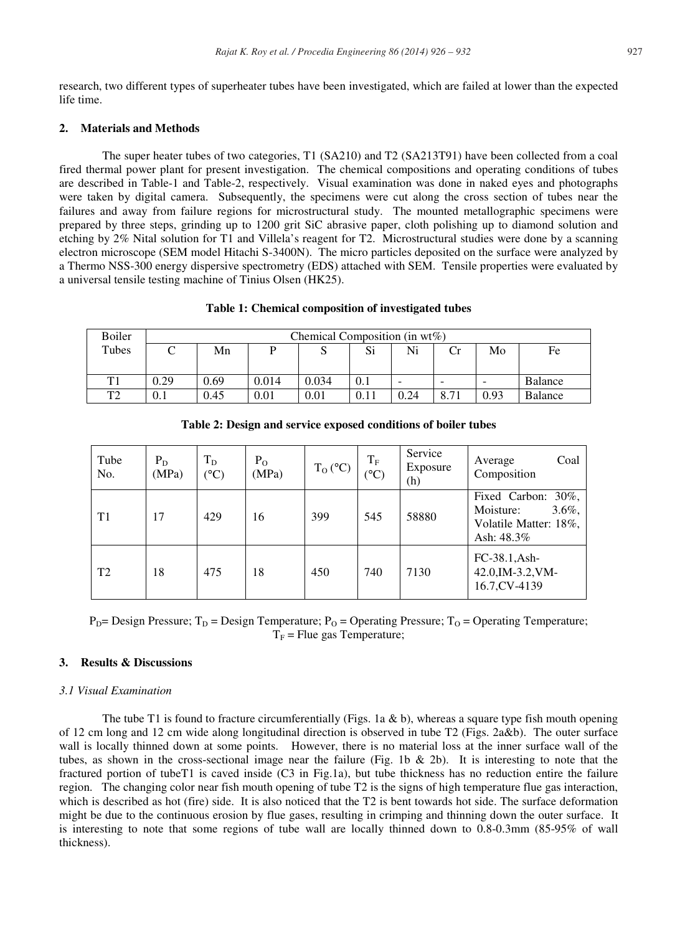research, two different types of superheater tubes have been investigated, which are failed at lower than the expected life time.

## **2. Materials and Methods**

The super heater tubes of two categories, T1 (SA210) and T2 (SA213T91) have been collected from a coal fired thermal power plant for present investigation. The chemical compositions and operating conditions of tubes are described in Table-1 and Table-2, respectively. Visual examination was done in naked eyes and photographs were taken by digital camera. Subsequently, the specimens were cut along the cross section of tubes near the failures and away from failure regions for microstructural study. The mounted metallographic specimens were prepared by three steps, grinding up to 1200 grit SiC abrasive paper, cloth polishing up to diamond solution and etching by 2% Nital solution for T1 and Villela's reagent for T2. Microstructural studies were done by a scanning electron microscope (SEM model Hitachi S-3400N). The micro particles deposited on the surface were analyzed by a Thermo NSS-300 energy dispersive spectrometry (EDS) attached with SEM. Tensile properties were evaluated by a universal tensile testing machine of Tinius Olsen (HK25).

#### **Table 1: Chemical composition of investigated tubes**

| Boiler         | Chemical Composition (in $wt\%$ ) |      |       |       |     |      |      |      |         |
|----------------|-----------------------------------|------|-------|-------|-----|------|------|------|---------|
| Tubes          |                                   | Mn   |       | ື     | Si  | Ni   |      | Mo   | Fe      |
|                |                                   |      |       |       |     |      |      |      |         |
| T1             | 0.29                              | 0.69 | 0.014 | 0.034 | 0.1 | -    | -    |      | Balance |
| T <sub>2</sub> | 0.1                               | 0.45 | 0.01  | 0.01  |     | 0.24 | 8.71 | 0.93 | Balance |

| Tube<br>No.    | $P_D$<br>(MPa) | $T_D$<br>$(^{\circ}C)$ | $P_{O}$<br>(MPa) | $T_{O}$ (°C) | $T_F$<br>$\dot{\mathrm{cC}}$ | Service<br>Exposure<br>(h) | Coal<br>Average<br>Composition                                                      |
|----------------|----------------|------------------------|------------------|--------------|------------------------------|----------------------------|-------------------------------------------------------------------------------------|
| T1             | 17             | 429                    | 16               | 399          | 545                          | 58880                      | Fixed Carbon: 30%,<br>$3.6\%$ ,<br>Moisture:<br>Volatile Matter: 18%,<br>Ash: 48.3% |
| T <sub>2</sub> | 18             | 475                    | 18               | 450          | 740                          | 7130                       | FC-38.1, Ash-<br>42.0, IM-3.2, VM-<br>16.7, CV-4139                                 |

**Table 2: Design and service exposed conditions of boiler tubes** 

 $P_{D}$ = Design Pressure; T<sub>D</sub> = Design Temperature; P<sub>O</sub> = Operating Pressure; T<sub>O</sub> = Operating Temperature;  $T<sub>F</sub>$  = Flue gas Temperature;

# **3. Results & Discussions**

#### *3.1 Visual Examination*

The tube T1 is found to fracture circumferentially (Figs. 1a  $\&$  b), whereas a square type fish mouth opening of 12 cm long and 12 cm wide along longitudinal direction is observed in tube T2 (Figs. 2a&b). The outer surface wall is locally thinned down at some points. However, there is no material loss at the inner surface wall of the tubes, as shown in the cross-sectional image near the failure (Fig. 1b & 2b). It is interesting to note that the fractured portion of tubeT1 is caved inside (C3 in Fig.1a), but tube thickness has no reduction entire the failure region. The changing color near fish mouth opening of tube T2 is the signs of high temperature flue gas interaction, which is described as hot (fire) side. It is also noticed that the T2 is bent towards hot side. The surface deformation might be due to the continuous erosion by flue gases, resulting in crimping and thinning down the outer surface. It is interesting to note that some regions of tube wall are locally thinned down to 0.8-0.3mm (85-95% of wall thickness).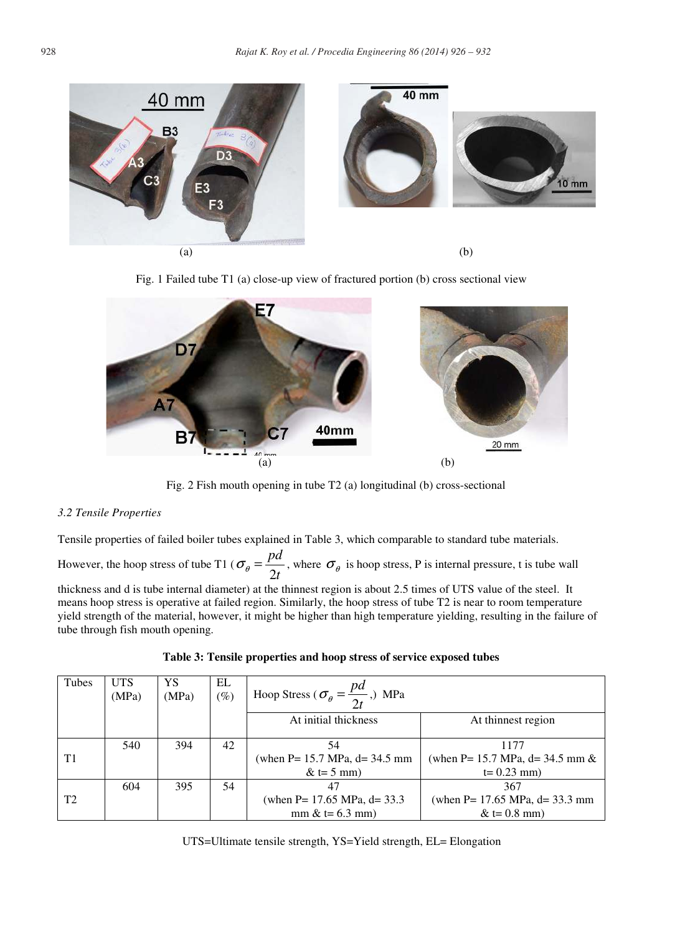





Fig. 2 Fish mouth opening in tube T2 (a) longitudinal (b) cross-sectional

# *3.2 Tensile Properties*

Tensile properties of failed boiler tubes explained in Table 3, which comparable to standard tube materials.

However, the hoop stress of tube T1 ( $\sigma_{\theta} = \frac{F}{2t}$ *pd* 2  $\sigma_{\theta} = \frac{P^{\alpha}}{P_{\theta}}$ , where  $\sigma_{\theta}$  is hoop stress, P is internal pressure, t is tube wall

thickness and d is tube internal diameter) at the thinnest region is about 2.5 times of UTS value of the steel. It means hoop stress is operative at failed region. Similarly, the hoop stress of tube T2 is near to room temperature yield strength of the material, however, it might be higher than high temperature yielding, resulting in the failure of tube through fish mouth opening.

| Tubes          | <b>UTS</b><br>(MPa) | YS<br>(MPa) | EL<br>$(\%)$ | Hoop Stress ( $\sigma_{\theta} = \frac{pd}{2t}$ ,) MPa |                                        |
|----------------|---------------------|-------------|--------------|--------------------------------------------------------|----------------------------------------|
|                |                     |             |              | At initial thickness                                   | At thinnest region                     |
|                | 540                 | 394         | 42           | 54                                                     | 1177                                   |
| T1             |                     |             |              | (when $P = 15.7 \text{ MPa}$ , $d = 34.5 \text{ mm}$   | (when P = 15.7 MPa, $d = 34.5$ mm $\&$ |
|                |                     |             |              | $&t=5$ mm)                                             | $t = 0.23$ mm)                         |
|                | 604                 | 395         | 54           | 47                                                     | 367                                    |
| T <sub>2</sub> |                     |             |              | (when $P = 17.65 \text{ MPa}$ , d= 33.3                | (when $P = 17.65$ MPa, $d = 33.3$ mm   |
|                |                     |             |              | $mm < t = 6.3 \, \text{mm}$                            | $&(1) = 0.8$ mm)                       |

|  |  |  | Table 3: Tensile properties and hoop stress of service exposed tubes |  |
|--|--|--|----------------------------------------------------------------------|--|
|--|--|--|----------------------------------------------------------------------|--|

UTS=Ultimate tensile strength, YS=Yield strength, EL= Elongation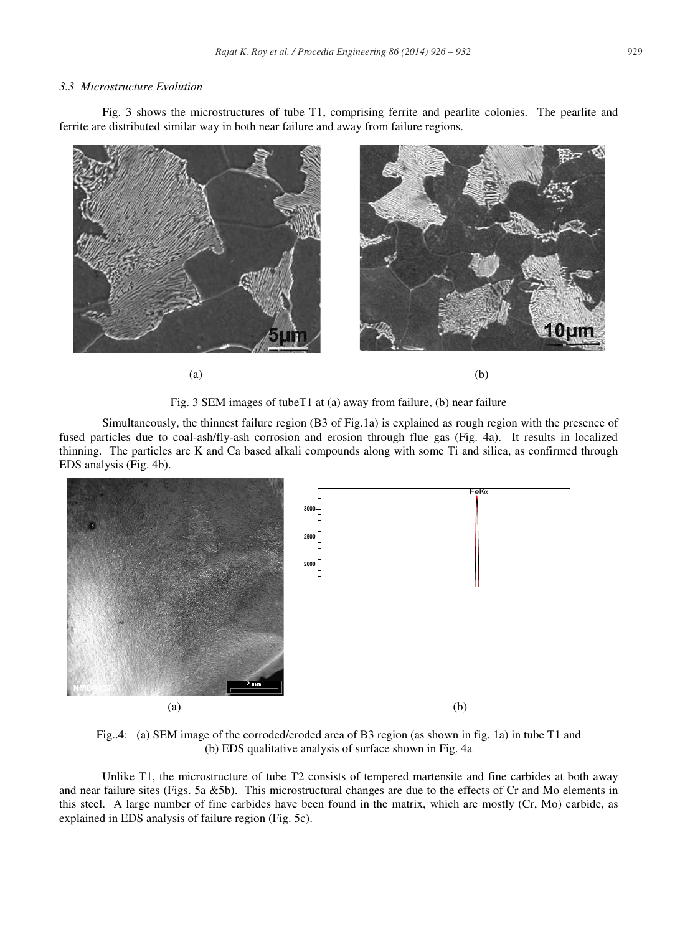## *3.3 Microstructure Evolution*

Fig. 3 shows the microstructures of tube T1, comprising ferrite and pearlite colonies. The pearlite and ferrite are distributed similar way in both near failure and away from failure regions.



Fig. 3 SEM images of tubeT1 at (a) away from failure, (b) near failure

Simultaneously, the thinnest failure region (B3 of Fig.1a) is explained as rough region with the presence of fused particles due to coal-ash/fly-ash corrosion and erosion through flue gas (Fig. 4a). It results in localized thinning. The particles are K and Ca based alkali compounds along with some Ti and silica, as confirmed through EDS analysis (Fig. 4b).



Fig..4: (a) SEM image of the corroded/eroded area of B3 region (as shown in fig. 1a) in tube T1 and (b) EDS qualitative analysis of surface shown in Fig. 4a

Unlike T1, the microstructure of tube T2 consists of tempered martensite and fine carbides at both away and near failure sites (Figs. 5a &5b). This microstructural changes are due to the effects of Cr and Mo elements in this steel. A large number of fine carbides have been found in the matrix, which are mostly (Cr, Mo) carbide, as explained in EDS analysis of failure region (Fig. 5c).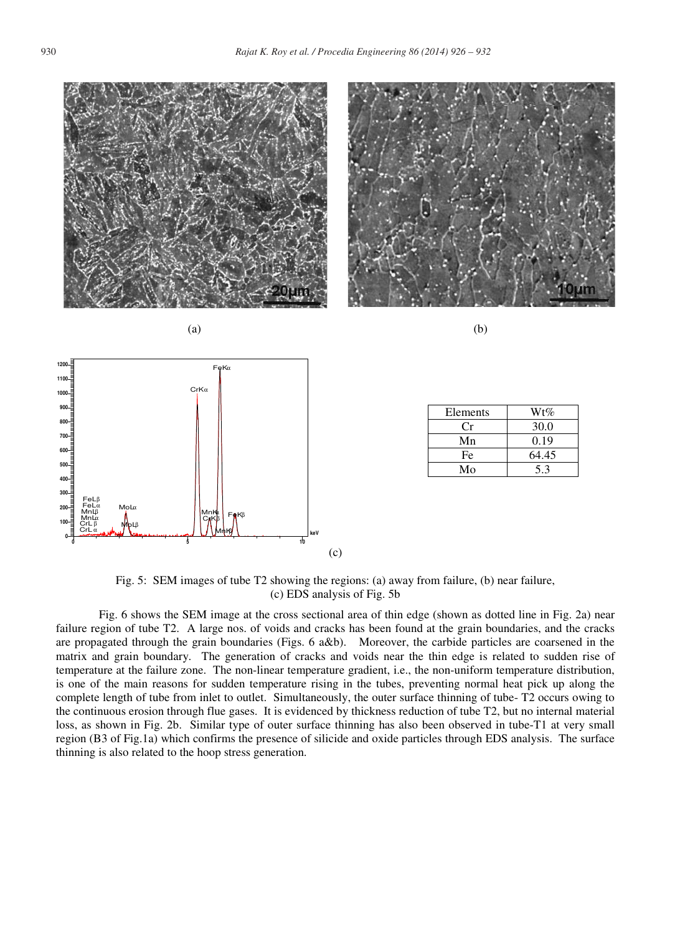



| Elements | $Wt\%$ |
|----------|--------|
| Сr       | 30.0   |
| Mn       | 0.19   |
| Fe       | 64.45  |
| Mo       | 53     |

Fig. 5: SEM images of tube T2 showing the regions: (a) away from failure, (b) near failure, (c) EDS analysis of Fig. 5b

(c)

Fig. 6 shows the SEM image at the cross sectional area of thin edge (shown as dotted line in Fig. 2a) near failure region of tube T2. A large nos. of voids and cracks has been found at the grain boundaries, and the cracks are propagated through the grain boundaries (Figs. 6 a&b). Moreover, the carbide particles are coarsened in the matrix and grain boundary. The generation of cracks and voids near the thin edge is related to sudden rise of temperature at the failure zone. The non-linear temperature gradient, i.e., the non-uniform temperature distribution, is one of the main reasons for sudden temperature rising in the tubes, preventing normal heat pick up along the complete length of tube from inlet to outlet. Simultaneously, the outer surface thinning of tube- T2 occurs owing to the continuous erosion through flue gases. It is evidenced by thickness reduction of tube T2, but no internal material loss, as shown in Fig. 2b. Similar type of outer surface thinning has also been observed in tube-T1 at very small region (B3 of Fig.1a) which confirms the presence of silicide and oxide particles through EDS analysis. The surface thinning is also related to the hoop stress generation.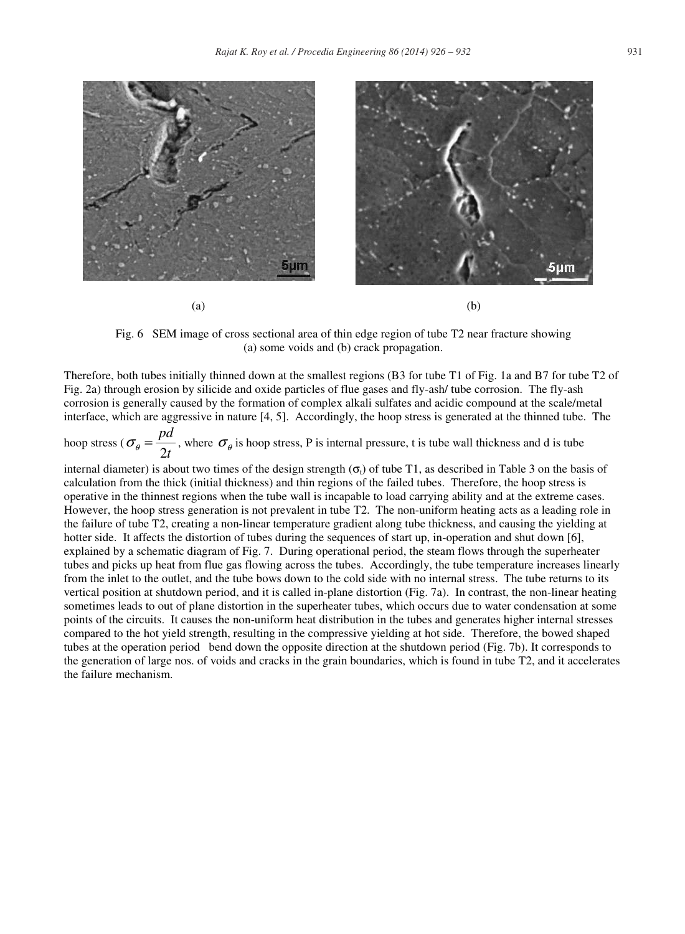

Fig. 6 SEM image of cross sectional area of thin edge region of tube T2 near fracture showing (a) some voids and (b) crack propagation.

Therefore, both tubes initially thinned down at the smallest regions (B3 for tube T1 of Fig. 1a and B7 for tube T2 of Fig. 2a) through erosion by silicide and oxide particles of flue gases and fly-ash/ tube corrosion. The fly-ash corrosion is generally caused by the formation of complex alkali sulfates and acidic compound at the scale/metal interface, which are aggressive in nature [4, 5]. Accordingly, the hoop stress is generated at the thinned tube. The

hoop stress ( $\sigma_{\theta} = \frac{F}{2t}$ *pd* 2  $\sigma_{\theta} = \frac{P^{\alpha}}{2}$ , where  $\sigma_{\theta}$  is hoop stress, P is internal pressure, t is tube wall thickness and d is tube

internal diameter) is about two times of the design strength  $(\sigma_1)$  of tube T1, as described in Table 3 on the basis of calculation from the thick (initial thickness) and thin regions of the failed tubes. Therefore, the hoop stress is operative in the thinnest regions when the tube wall is incapable to load carrying ability and at the extreme cases. However, the hoop stress generation is not prevalent in tube T2. The non-uniform heating acts as a leading role in the failure of tube T2, creating a non-linear temperature gradient along tube thickness, and causing the yielding at hotter side. It affects the distortion of tubes during the sequences of start up, in-operation and shut down [6], explained by a schematic diagram of Fig. 7. During operational period, the steam flows through the superheater tubes and picks up heat from flue gas flowing across the tubes. Accordingly, the tube temperature increases linearly from the inlet to the outlet, and the tube bows down to the cold side with no internal stress. The tube returns to its vertical position at shutdown period, and it is called in-plane distortion (Fig. 7a). In contrast, the non-linear heating sometimes leads to out of plane distortion in the superheater tubes, which occurs due to water condensation at some points of the circuits. It causes the non-uniform heat distribution in the tubes and generates higher internal stresses compared to the hot yield strength, resulting in the compressive yielding at hot side. Therefore, the bowed shaped tubes at the operation period bend down the opposite direction at the shutdown period (Fig. 7b). It corresponds to the generation of large nos. of voids and cracks in the grain boundaries, which is found in tube T2, and it accelerates the failure mechanism.